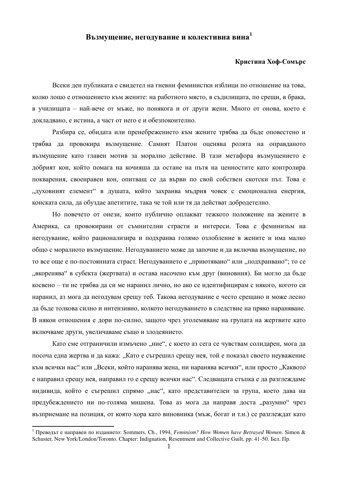## Възмущение, негодувание и колективна вина<sup>1</sup>

## Кристина Хоф-Сомърс

Всеки ден публиката е свидетел на гневни феминистки изблици по отношение на това, колко лошо е отношението към жените: на работното място, в съдилищата, по срещи, в брака, в училищата – най-вече от мъже, но понякога и от други жени. Много от онова, което е докладвано, е истина, а част от него е и обезпокоително.

Разбира се, обидата или пренебрежението към жените трябва да бъде оповестено и трябва да провокира възмущение. Самият Платон оценява ролята на оправданото възмущение като главен мотив за морално действие. В тази метафора възмущението е добрият кон, който помага на кочияша да остане на пътя на ценностите като контролира покварения, своенравен кон, опитващ се да върви по свой собствен скотски път. Това е "духовният елемент" в душата, който захранва мъдрия човек с емоционална енергия, конската сила, да обуздае апетитите, така че той или тя да действат добродетелно.

Но повечето от онези, които публично оплакват тежкото положение на жените в Америка, са провокирани от съмнителни страсти и интереси. Това е феминизъм на негодувание, който рационализира и подхранва голямо озлобление в жените и има малко общо с моралното възмущение. Негодуванието може да започне и да включва възмущение, но то все още е по-постоянната страст. Негодуванието е "приютявано" или "подхранвано"; то се "вкоренява" в субекта (жертвата) и остава насочено към друг (виновния). Би могло да бъде косвено – ти не трябва да си ме наранил лично, но ако се идентифицирам с някого, когото си наранил, аз мога да негодувам срещу теб. Такова негодувание е често срещано и може лесно да бъде толкова силно и интензивно, колкото негодуванието в следствие на пряко нараняване. В някои отношения е дори по-силно, защото чрез уголемяване на групата на жертвите като включваме други, увеличаваме също и злодеянието.

Като сме отграничили измъчено "ние", с което аз сега се чувствам солидарен, мога да посоча една жертва и да кажа: "Като е съгрешил срещу нея, той е показал своето неуважение към всички нас" или "Всеки, който наранява жена, ни наранява всички", или просто "Каквото е направил срещу нея, направил го е срещу всички нас". Следващата стъпка е да разглеждаме индивида, който е съгрешил спрямо "нас", като представителен за група, което дава на предубеждението ни по-голяма мишена. Това аз мога да направя доста "разумно" чрез възприемане на позиция, от която хора като виновника (мъж. богат и т.н.) се разглеждат като

 $\overline{a}$ 

<sup>&</sup>lt;sup>1</sup> Преволът е направен по изланието: Sommers, Ch., 1994, *Feminism? How Women have Betrayed Women*. Simon & Schuster, New York/London/Toronto. Chapter: Indignation, Resentment and Collective Guilt, pp. 41-50. Бел. Пр.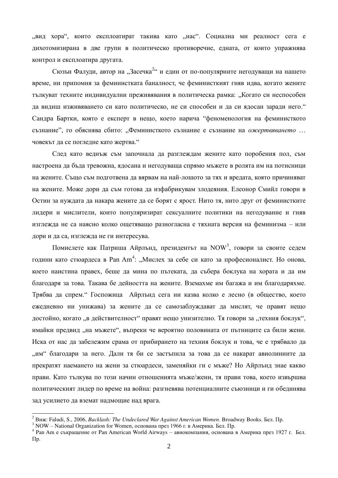"вид хора", които експлоатират такива като "нас". Социална ми реалност сега е дихотомизирана в две групи в политическо противоречие, едната, от които упражнява контрол и експлоатира другата.

Сюзън Фалуди, автор на "Засечка<sup>2</sup>" и един от по-популярните негодуващи на нашето време, ни припомня за феминистката баналност, че феминисткият гняв идва, когато жените тылкуват техните индивидуални преживявания в политическа рамка: "Когато си неспособен да видиш изживяването си като политическо, не си способен и да си ядосан заради него." Сандра Бартки, която е експерт в нещо, което нарича "феноменология на феминисткото съзнание", го обяснява сбито: "Феминисткото съзнание е съзнание на ожертвяването ... човекът да се погледне като жертва."

След като веднъж съм започнала да разглеждам жените като поробения пол, съм настроена да бъда тревожна, ядосана и негодуваща спрямо мъжете в ролята им на потисници на жените. Също съм подготвена да вярвам на най-лошото за тях и вредата, която причиняват на жените. Може дори да съм готова да изфабрикувам злодеяния. Елеонор Смийл говори в Остин за нуждата да накара жените да се борят с ярост. Нито тя, нито друг от феминистките лидери и мислители, които популяризират сексуалните политики на негодувание и гняв изглежда не са наясно колко ощетяващо разногласна е тяхната версия на феминизма – или дори и да са, изглежда не ги интересува.

Помислете как Патриша Айрлънд, президентът на NOW<sup>3</sup>, говори за своите седем години като стюардеса в Pan Am<sup>4</sup>: "Мислех за себе си като за професионалист. Но онова, което наистина правех, беше да мина по пътеката, да събера боклука на хората и да им благодаря за това. Такава бе дейността на жените. Вземахме им багажа и им благодаряхме. Трябва да спрем. "Госпожица Айрлънд сега ни казва колко е лесно (в общество, което ежедневно ни унижава) за жените да се самозаблуждават да мислят, че правят нещо достойно, когато "в действителност" правят нещо унизително. Тя говори за "техния боклук", имайки предвид "на мъжете", въпреки че вероятно половината от пътниците са били жени. Иска от нас да забележим срама от прибирането на техния боклук и това, че е трябвало да "им" благодари за него. Дали тя би се застъпила за това да се накарат авиолиниите да прекратят наемането на жени за стюардеси, заменяйки ги с мъже? Но Айрлънд знае какво прави. Като тълкува по този начин отношенията мъже/жени, тя прави това, което извършва политическият лидер по време на война: разгневява потенциалните съюзници и ги обединява зад усилието да вземат надмощие над врага.

 $\overline{a}$ 

<sup>&</sup>lt;sup>2</sup> Bux: Faludi, S., 2006, *Backlash: The Undeclared War Against American Women*. Broadway Books. Бел. Пр.

<sup>&</sup>lt;sup>3</sup> NOW – National Organization for Women, основана през 1966 г. в Америка. Бел. Пр.

<sup>&</sup>lt;sup>4</sup> Pan Am е съкращение от Pan American World Airways – авиокомпания, основана в Америка през 1927 г. Бел.  $\Pi p$ .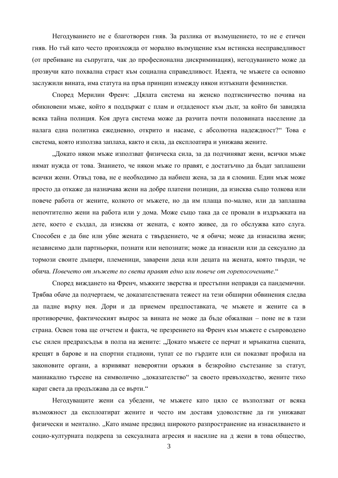Негодуванието не е благотворен гняв. За разлика от възмущението, то не е етичен гняв. Но тъй като често произхожда от морално възмущение към истинска несправедливост (от пребиване на съпругата, чак до професионална дискриминация), негодуванието може да прозвучи като похвална страст към социална справедливост. Идеята, че мъжете са основно заслужили вината, има статута на пръв принцип измежду някои изтъкнати феминистки.

Според Мерилин Френч: "Цялата система на женско подтисничество почива на обикновени мъже, който я поддържат с плам и отдаденост към дълг, за който би завидяла всяка тайна полиция. Коя друга система може да разчита почти половината население да налага една политика ежедневно, открито и насаме, с абсолютна надеждност?" Това е система, която използва заплаха, както и сила, да експлоатира и унижава жените.

"Докато някои мъже използват физическа сила, за да подчиняват жени, всички мъже нямат нужда от това. Знанието, че някои мъже го правят, е достатъчно да бъдат заплашени всички жени. Отвъд това, не е необходимо да набиеш жена, за да я сломиш. Един мъж може просто да откаже да назначава жени на добре платени позиции, да изисква също толкова или повече работа от жените, колкото от мъжете, но да им плаща по-малко, или да заплашва непочтително жени на работа или у дома. Може също така да се провали в издръжката на дете, което е създал, да изисква от жената, с която живее, да го обслужва като слуга. Способен е да бие или убие жената с твърдението, че я обича; може да изнасилва жени; независимо дали партньорки, познати или непознати; може да изнасили или да сексуално да тормози своите дъщери, племеници, заварени деца или децата на жената, която твърди, че обича. *Повечето от мъжете по света правят едно или повече от горепосочените*."

Според виждането на Френч, мъжките зверства и престъпни неправди са пандемични. Трябва обаче да подчертаем, че доказателствената тежест на тези обширни обвинения следва да падне върху нея. Дори и да приемем предпоставката, че мъжете и жените са в противоречие, фактическият въпрос за вината не може да бъде обжалван – поне не в тази страна. Освен това ще отчетем и факта, че презрението на Френч към мъжете е съпроводено със силен предразсъдък в полза на жените: "Докато мъжете се перчат и мрънкатна сцената, крещят в барове и на спортни стадиони, тупат се по гърдите или си показват профила на законовите органи, а взривяват невероятни оръжия в безкройно състезание за статут, маниакално търсене на символично "доказателство" за своето превъзходство, жените тихо карат света да продължава да се върти."

Негодуващите жени са убедени, че мъжете като цяло се възползват от всяка възможност да експлоатират жените и често им доставя удоволствие да ги унижават физически и ментално. "Като имаме предвид широкото разпространение на изнасилването и социо-културната подкрепа за сексуалната агресия и насилие на д жени в това общество,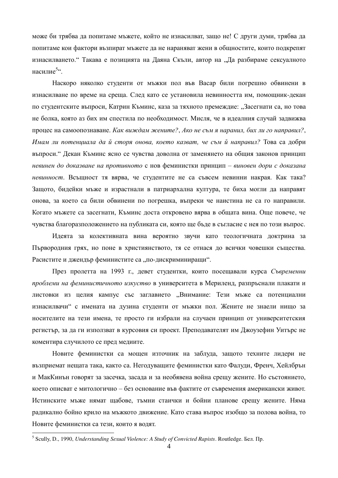може би трябва да попитаме мъжете, който не изнасилват, защо не! С други думи, трябва да попитаме кои фактори възпират мъжете да не нараняват жени в общностите, които подкрепят изнасилването. "Такава е позицията на Даяна Скъли, автор на "Да разбираме сексуалното насилие $5\degree$ .

Наскоро няколко студенти от мъжки пол във Васар били погрешно обвинени в изнасилване по време на среща. След като се установила невинността им, помощник-декан по студентските въпроси, Катрин Къминс, каза за тяхното премеждие: "Засегнати са, но това не болка, която аз бих им спестила по необходимост. Мисля, че в идеалния случай задвижва процес на самоопознаване. Как виждам жените?, Ако не съм я наранил, бих ли го направил?, Имам ли потенциала да й сторя онова, което казват, че съм й направил? Това са добри въпроси. "Декан Къминс ясно се чувства доволна от заменянето на общия законов принцип невинен до доказване на противното с нов феминистки принцип – виновен дори с доказана невинност. Всъщност тя вярва, че студентите не са съвсем невинни накрая. Как така? Защото, бидейки мъже и израстнали в патриархална култура, те биха могли да направят онова, за което са били обвинени по погрешка, въпреки че наистина не са го направили. Когато мъжете са засегнати, Къминс доста откровено вярва в общата вина. Още повече, че чувства благоразположението на публиката си, която ще бъде в съгласие с нея по този въпрос.

Идеята за колективната вина вероятно звучи като теологичната доктрина за Първородния грях, но поне в християнството, тя се отнася до всички човешки същества. Расистите и джендър феминистите са "по-дискриминиращи".

През пролетта на 1993 г., девет студентки, които посещавали курса Съвременни проблеми на феминистичното изкуство в университета в Мериленд, разпръснали плакати и листовки из целия кампус със заглавието "Внимание: Тези мъже са потенциални изнасилвачи" с имената на дузина студенти от мъжки пол. Жените не знаели нищо за носителите на тези имена, те просто ги избрали на случаен принцип от университетския регистър, за да ги използват в курсовия си проект. Преподавателят им Джоузефин Уитърс не коментира случилото се пред медиите.

Новите феминистки са мощен източник на заблуда, защото техните лидери не възприемат нещата така, както са. Негодуващите феминистки като Фалуди, Френч, Хейлбрън и МакКинън говорят за засечка, засада и за необявена война срещу жените. Но състоянието, което описват е митологично – без основание във фактите от съвремения американски живот. Истинските мъже нямат щабове, тъмни стаички и бойни планове срещу жените. Няма радикално бойно крило на мъжкото движение. Като става въпрос изобщо за полова война, то Новите феминистки са тези, които я водят.  $\overline{a}$ 

<sup>&</sup>lt;sup>5</sup> Scully, D., 1990, *Understanding Sexual Violence: A Study of Convicted Rapists*. Routledge. Бел. Пр.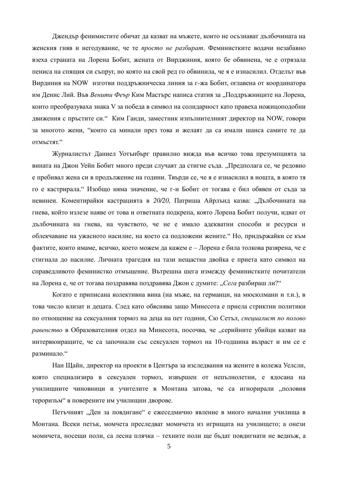Джендър фенимистите обичат да казват на мъжете, които не осъзнават дълбочината на женския гняв и негодувание, че те *просто не разбират*. Феминистките водачи незабавно взеха страната на Лорена Бобит, жената от Вирджиния, която бе обвинена, че е отрязала пениса на спящия си съпруг, но която на свой ред го обвинила, че я е изнасилил. Отделът във Вирдиния на NOW изготви поддръжническа линия за г-жа Бобит, оглавена от координатора им Денис Лий. Във *Венити Феър* Ким Мастърс написа статия за "Поддръжниците на Лорена, които преобразуваха знака V за победа в символ на солидарност като правеха ножицоподобни движения с пръстите си." Ким Ганди, заместник изпълнителният директор на NOW, говори за многото жени, "които са минали през това и желаят да са имали шанса самите те да OTMLCTAT."

Журналистът Даниел Уотънбърг правилно вижда във всичко това презумпцията за вината на Джон Уейн Бобит много преди случаят да стигне съда. "Предполага се, че редовно е пребивал жена си в продължение на години. Твърди се, че я е изнасилил в нощта, в която тя го е кастрирала. "Изобщо няма значение, че г-н Бобит от тогава е бил обявен от съда за невинен. Коментирайки кастрацията в 20/20, Патриша Айрлънд казва: "Дълбочината на гнева, който излезе наяве от това и ответната подкрепа, която Лорена Бобит получи, идват от дълбочината на гнева, на чувството, че не е имало адекватни способи и ресурси и облекчаване на ужасното насилие, на което са подложени жените. "Но, придържайки се към фактите, които имаме, всичко, което можем да кажем е – Лорена е била толкова разярена, че е стигнала до насилие. Личната трагедия на тази нещастна двойка е приета като символ на справедливото феминистко отмъщение. Вътрешна шега измежду феминистките почитатели на Лорена е, че от тогава поздравява поздравява Джон с думите: "Сега разбираш ли?"

Когато е приписана колективна вина (на мъже, на германци, на мюсюлмани и т.н.), в това число влизат и децата. След като обяснява защо Минесота е приела стриктни политики по отношение на сексуалния тормоз на деца на пет години, Сю Сетъл, специалист по полово *равенство* в Образователния отдел на Минесота, посочва, че "серийните убийци казват на интервюиращите, че са започнали със сексуален тормоз на 10-годшина възраст и им се е разминало."

Нан Щайн, директор на проекти в Центъра за изследвания на жените в колежа Уелсли, която специализира в сексуален тормоз, извършен от непълнолетни, е ядосана на училищните чиновници и учителите в Монтана затова, че са игнорирали "половия тероризъм" в поверените им училищни дворове.

Петъчният "Ден за повдигане" е ежеседмично явление в много начални училища в Монтана. Всеки петък, момчета преследват момичета из игрищата на училището; а онези момичета, носещи поли, са лесна плячка – техните поли ще бъдат повдигнати не веднъж, а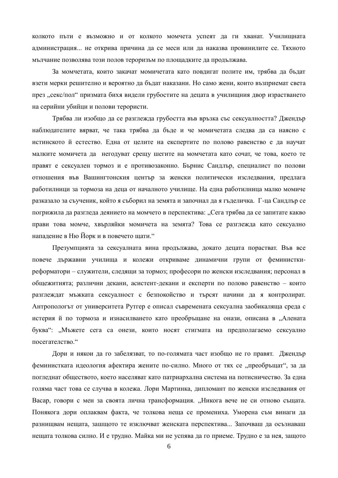колкото пъти е възможно и от колкото момчета успеят да ги хванат. Училищната администрация... не открива причина да се меси или да наказва провинилите се. Тяхното мълчание позволява този полов тероризъм по площадките да продължава.

За момчетата, които закачат момичетата като повдигат полите им, трябва да бъдат взети мерки решително и вероятно да бъдат наказани. Но само жени, които възприемат света през "секс/пол" призмата бихя видели грубостите на децата в училищния двор израстването на серийни убийци и полови терористи.

Трябва ли изобщо да се разглежда грубостта във връзка със сексуалността? Джендър наблюдателите вярват, че така трябва да бъде и че момичетата следва да са наясно с истинското й естество. Една от целите на експертите по полово равенство е да научат малките момичета да негодуват срещу шегите на момчетата като сочат, че това, което те правят е сексуален тормоз и е противозаконно. Бърнис Сандлър, специалист по полови отношения във Вашингтонския център за женски политически изследвания, предлага работилници за тормоза на деца от началното училище. На една работилница малко момиче разказало за съученик, който я съборил на земята и започнал да я гъделичка. Г-ца Сандлър се погрижила да разгледа деянието на момчето в перспектива: "Сега трябва да се запитате какво прави това момче, хвърляйки момичета на земята? Това се разглежда като сексуално нападение в Ню Йорк и в повечето щати."

Презумпцията за сексуалната вина продължава, докато децата порастват. Във все повече държавни училища и колежи откриваме динамични групи от феминисткиреформатори – служители, следящи за тормоз; професори по женски изследвания; персонал в общежитията; различни декани, асистент-декани и експерти по полово равенство - които разглеждат мъжката сексуалност с безпокойство и търсят начини да я контролират. Антропологът от университета Рутгер е описал съвремената сексуална заобикаляща среда с истерия й по тормоза и изнасилването като преобръщане на онази, описана в "Алената буква": "Мъжете сега са онези, които носят стигмата на предполагаемо сексуално посегателство."

Дори и някои да го забелязват, то по-голямата част изобщо не го правят. Джендър феминистката идеология афектира жените по-силно. Много от тях се "преобръщат", за да погледнат обществото, което населяват като патриархална система на потисничество. За една голяма част това се случва в колежа. Лори Мартинка, дипломант по женски изследвания от Васар, говори с мен за своята лична трансформация. "Никога вече не си отново същата. Понякога дори оплаквам факта, че толкова неща се промениха. Уморена съм винаги да разнищвам нещата, зашщото те изключват женската перспектива... Започваш да осъзнаваш нещата толкова силно. И е трудно. Майка ми не успява да го приеме. Трудно е за нея, защото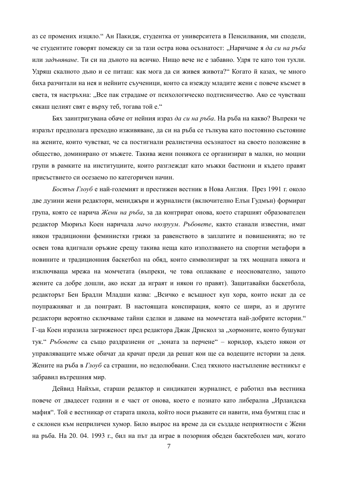аз се промених изцяло. "Ан Пакидж, студентка от университета в Пенсилвания, ми сподели, че студентите говорят помежду си за тази остра нова осъзнатост: "Наричаме я да си на ръба или задъняване. Ти си на лъното на всичко. Нишо вече не е забавно. Улря те като тон тухли. Удряш скалното дъно и се питаш: как мога да си живея живота?" Когато й казах, че много биха разчитали на нея и нейните съученици, които са изежду младите жени с повече късмет в света, тя настръхна: "Все пак страдаме от психологическо подтисничество. Ако се чувстваш сякаш целият свят е върху теб, тогава той е."

Бях заинтригувана обаче от нейния израз да си на ръба. На ръба на какво? Въпреки че изразът предполага преходно изживяване, да си на ръба се тълкува като постоянно състояние на жените, които чувстват, че са постигнали реалистична осъзнатост на своето положение в общество, доминирано от мъжете. Такива жени понякога се организират в малки, но мощни групи в рамките на институциите, които разглеждат като мъжки бастиони и където правят присъствието си осезаемо по категоричен начин.

Бостън Глоуб е най-големият и престижен вестник в Нова Англия. През 1991 г. около две дузини жени редактори, мениджъри и журналисти (включително Елън Гудмън) формират група, която се нарича Жени на ръба, за да контрират онова, което старшият образователен редактор Мюриъл Коен наричала мачо нюзруум. Ръбовете, както станали известни, имат някои традиционни феминистки грижи за равенството в заплатите и повишенията; но те освен това вдигнали оръжие срещу такива неща като използването на спортни метафори в новините и традиционния баскетбол на обяд, които символизират за тях мощната някога и изключваща мрежа на момчетата (въпреки, че това оплакване е неоснователно, защото жените са добре дошли, ако искат да играят и някои го правят). Защитавайки баскетбола, редакторът Бен Брадли Младши казва: "Всичко е всъщност куп хора, които искат да се поупражняват и да поиграят. В настоящата конспирация, която се шири, аз и другите редактори вероятно сключваме тайни сделки и даваме на момчетата най-добрите истории." Г-ца Коен изразила загриженост пред редактора Джак Дрискол за "хормоните, които бушуват тук. *Ръбовете* са също раздразнени от "зоната за перчене" – коридор, където някои от управляващите мъже обичат да крачат преди да решат кои ще са водещите истории за деня. Жените на ръба в *Глоуб* са страшни, но недолюбвани. След тяхното настъпление вестникът е забравил вътрешния мир.

Дейвид Найхън, старши редактор и синдикатен журналист, е работил във вестника повече от двадесет години и е част от онова, което е познато като либерална "Ирландска мафия". Той е вестникар от старата школа, който носи ръкавите си навити, има бумтящ глас и е склонен към неприличен хумор. Било въпрос на време да си създаде неприятности с Жени на ръба. На 20. 04. 1993 г., бил на път да играе в позорния обеден басктеболен мач, когато